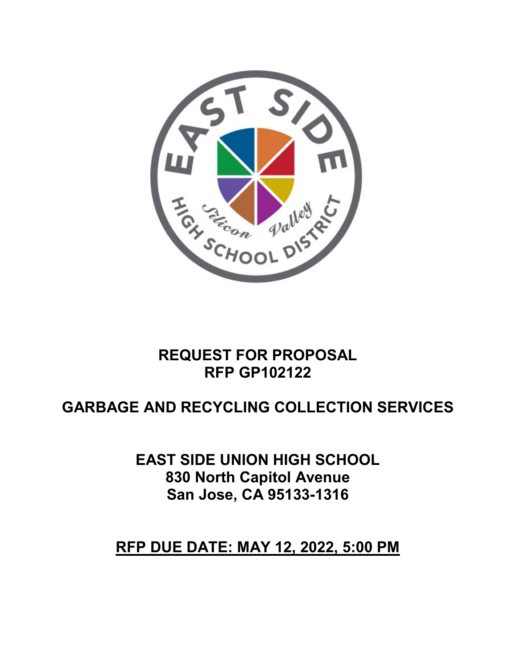

# **REQUEST FOR PROPOSAL RFP GP102122**

# **GARBAGE AND RECYCLING COLLECTION SERVICES**

**EAST SIDE UNION HIGH SCHOOL 830 North Capitol Avenue San Jose, CA 95133-1316** 

# **RFP DUE DATE: MAY 12, 2022, 5:00 PM**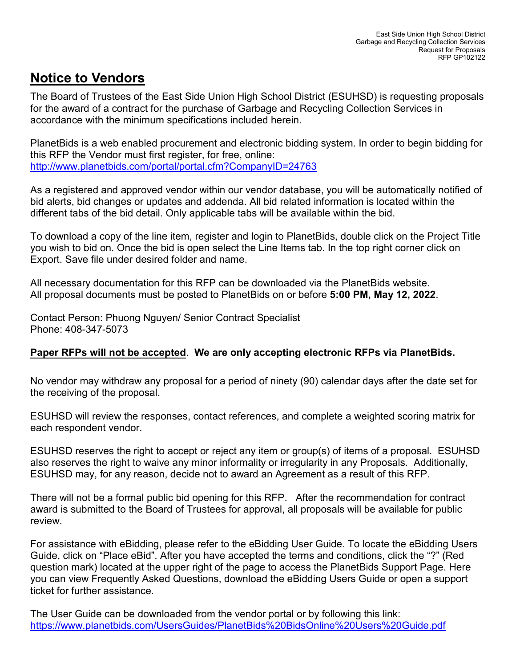### **Notice to Vendors**

The Board of Trustees of the East Side Union High School District (ESUHSD) is requesting proposals for the award of a contract for the purchase of Garbage and Recycling Collection Services in accordance with the minimum specifications included herein.

PlanetBids is a web enabled procurement and electronic bidding system. In order to begin bidding for this RFP the Vendor must first register, for free, online: <http://www.planetbids.com/portal/portal.cfm?CompanyID=24763>

As a registered and approved vendor within our vendor database, you will be automatically notified of bid alerts, bid changes or updates and addenda. All bid related information is located within the different tabs of the bid detail. Only applicable tabs will be available within the bid.

To download a copy of the line item, register and login to PlanetBids, double click on the Project Title you wish to bid on. Once the bid is open select the Line Items tab. In the top right corner click on Export. Save file under desired folder and name.

All necessary documentation for this RFP can be downloaded via the PlanetBids website. All proposal documents must be posted to PlanetBids on or before **5:00 PM, May 12, 2022**.

Contact Person: Phuong Nguyen/ Senior Contract Specialist Phone: 408-347-5073

#### **Paper RFPs will not be accepted**. **We are only accepting electronic RFPs via PlanetBids.**

No vendor may withdraw any proposal for a period of ninety (90) calendar days after the date set for the receiving of the proposal.

ESUHSD will review the responses, contact references, and complete a weighted scoring matrix for each respondent vendor.

ESUHSD reserves the right to accept or reject any item or group(s) of items of a proposal. ESUHSD also reserves the right to waive any minor informality or irregularity in any Proposals. Additionally, ESUHSD may, for any reason, decide not to award an Agreement as a result of this RFP.

There will not be a formal public bid opening for this RFP. After the recommendation for contract award is submitted to the Board of Trustees for approval, all proposals will be available for public review.

For assistance with eBidding, please refer to the eBidding User Guide. To locate the eBidding Users Guide, click on "Place eBid". After you have accepted the terms and conditions, click the "?" (Red question mark) located at the upper right of the page to access the PlanetBids Support Page. Here you can view Frequently Asked Questions, download the eBidding Users Guide or open a support ticket for further assistance.

The User Guide can be downloaded from the vendor portal or by following this link: <https://www.planetbids.com/UsersGuides/PlanetBids%20BidsOnline%20Users%20Guide.pdf>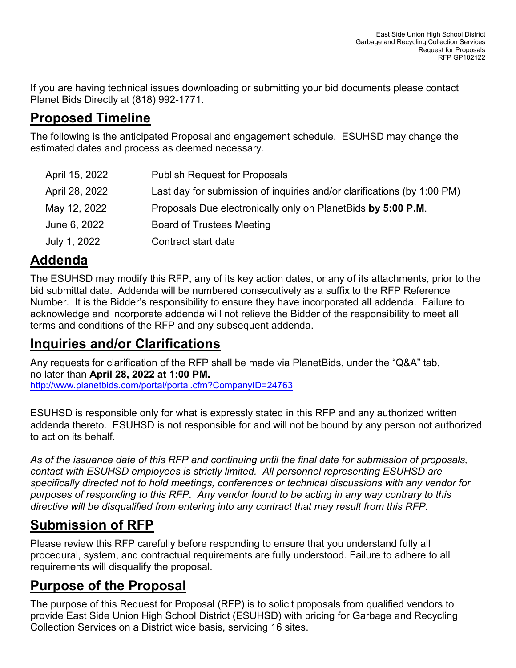If you are having technical issues downloading or submitting your bid documents please contact Planet Bids Directly at (818) 992-1771.

# **Proposed Timeline**

The following is the anticipated Proposal and engagement schedule. ESUHSD may change the estimated dates and process as deemed necessary.

| April 15, 2022 | <b>Publish Request for Proposals</b>                                    |
|----------------|-------------------------------------------------------------------------|
| April 28, 2022 | Last day for submission of inquiries and/or clarifications (by 1:00 PM) |
| May 12, 2022   | Proposals Due electronically only on PlanetBids by 5:00 P.M.            |
| June 6, 2022   | <b>Board of Trustees Meeting</b>                                        |
| July 1, 2022   | Contract start date                                                     |

# **Addenda**

The ESUHSD may modify this RFP, any of its key action dates, or any of its attachments, prior to the bid submittal date. Addenda will be numbered consecutively as a suffix to the RFP Reference Number. It is the Bidder's responsibility to ensure they have incorporated all addenda. Failure to acknowledge and incorporate addenda will not relieve the Bidder of the responsibility to meet all terms and conditions of the RFP and any subsequent addenda.

### **Inquiries and/or Clarifications**

Any requests for clarification of the RFP shall be made via PlanetBids, under the "Q&A" tab, no later than **April 28, 2022 at 1:00 PM.** <http://www.planetbids.com/portal/portal.cfm?CompanyID=24763>

ESUHSD is responsible only for what is expressly stated in this RFP and any authorized written addenda thereto. ESUHSD is not responsible for and will not be bound by any person not authorized to act on its behalf.

*As of the issuance date of this RFP and continuing until the final date for submission of proposals, contact with ESUHSD employees is strictly limited. All personnel representing ESUHSD are specifically directed not to hold meetings, conferences or technical discussions with any vendor for purposes of responding to this RFP. Any vendor found to be acting in any way contrary to this directive will be disqualified from entering into any contract that may result from this RFP.*

# **Submission of RFP**

Please review this RFP carefully before responding to ensure that you understand fully all procedural, system, and contractual requirements are fully understood. Failure to adhere to all requirements will disqualify the proposal.

# **Purpose of the Proposal**

The purpose of this Request for Proposal (RFP) is to solicit proposals from qualified vendors to provide East Side Union High School District (ESUHSD) with pricing for Garbage and Recycling Collection Services on a District wide basis, servicing 16 sites.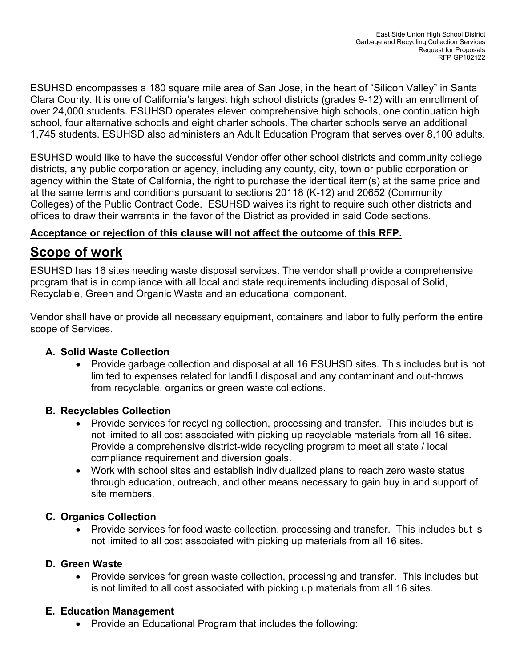ESUHSD encompasses a 180 square mile area of San Jose, in the heart of "Silicon Valley" in Santa Clara County. It is one of California's largest high school districts (grades 9-12) with an enrollment of over 24,000 students. ESUHSD operates eleven comprehensive high schools, one continuation high school, four alternative schools and eight charter schools. The charter schools serve an additional 1,745 students. ESUHSD also administers an Adult Education Program that serves over 8,100 adults.

ESUHSD would like to have the successful Vendor offer other school districts and community college districts, any public corporation or agency, including any county, city, town or public corporation or agency within the State of California, the right to purchase the identical item(s) at the same price and at the same terms and conditions pursuant to sections 20118 (K-12) and 20652 (Community Colleges) of the Public Contract Code. ESUHSD waives its right to require such other districts and offices to draw their warrants in the favor of the District as provided in said Code sections.

#### **Acceptance or rejection of this clause will not affect the outcome of this RFP.**

### **Scope of work**

ESUHSD has 16 sites needing waste disposal services. The vendor shall provide a comprehensive program that is in compliance with all local and state requirements including disposal of Solid, Recyclable, Green and Organic Waste and an educational component.

Vendor shall have or provide all necessary equipment, containers and labor to fully perform the entire scope of Services.

#### **A. Solid Waste Collection**

• Provide garbage collection and disposal at all 16 ESUHSD sites. This includes but is not limited to expenses related for landfill disposal and any contaminant and out-throws from recyclable, organics or green waste collections.

#### **B. Recyclables Collection**

- Provide services for recycling collection, processing and transfer. This includes but is not limited to all cost associated with picking up recyclable materials from all 16 sites. Provide a comprehensive district-wide recycling program to meet all state / local compliance requirement and diversion goals.
- Work with school sites and establish individualized plans to reach zero waste status through education, outreach, and other means necessary to gain buy in and support of site members.

#### **C. Organics Collection**

• Provide services for food waste collection, processing and transfer. This includes but is not limited to all cost associated with picking up materials from all 16 sites.

#### **D. Green Waste**

• Provide services for green waste collection, processing and transfer. This includes but is not limited to all cost associated with picking up materials from all 16 sites.

#### **E. Education Management**

• Provide an Educational Program that includes the following: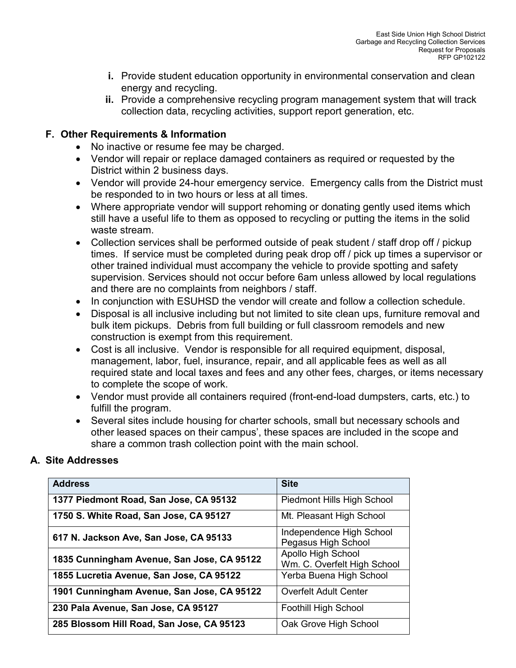- **i.** Provide student education opportunity in environmental conservation and clean energy and recycling.
- **ii.** Provide a comprehensive recycling program management system that will track collection data, recycling activities, support report generation, etc.

#### **F. Other Requirements & Information**

- No inactive or resume fee may be charged.
- Vendor will repair or replace damaged containers as required or requested by the District within 2 business days.
- Vendor will provide 24-hour emergency service. Emergency calls from the District must be responded to in two hours or less at all times.
- Where appropriate vendor will support rehoming or donating gently used items which still have a useful life to them as opposed to recycling or putting the items in the solid waste stream.
- Collection services shall be performed outside of peak student / staff drop off / pickup times. If service must be completed during peak drop off / pick up times a supervisor or other trained individual must accompany the vehicle to provide spotting and safety supervision. Services should not occur before 6am unless allowed by local regulations and there are no complaints from neighbors / staff.
- In conjunction with ESUHSD the vendor will create and follow a collection schedule.
- Disposal is all inclusive including but not limited to site clean ups, furniture removal and bulk item pickups. Debris from full building or full classroom remodels and new construction is exempt from this requirement.
- Cost is all inclusive. Vendor is responsible for all required equipment, disposal, management, labor, fuel, insurance, repair, and all applicable fees as well as all required state and local taxes and fees and any other fees, charges, or items necessary to complete the scope of work.
- Vendor must provide all containers required (front-end-load dumpsters, carts, etc.) to fulfill the program.
- Several sites include housing for charter schools, small but necessary schools and other leased spaces on their campus', these spaces are included in the scope and share a common trash collection point with the main school.

#### **A. Site Addresses**

| <b>Address</b>                             | <b>Site</b>                                       |
|--------------------------------------------|---------------------------------------------------|
| 1377 Piedmont Road, San Jose, CA 95132     | Piedmont Hills High School                        |
| 1750 S. White Road, San Jose, CA 95127     | Mt. Pleasant High School                          |
| 617 N. Jackson Ave, San Jose, CA 95133     | Independence High School<br>Pegasus High School   |
| 1835 Cunningham Avenue, San Jose, CA 95122 | Apollo High School<br>Wm. C. Overfelt High School |
| 1855 Lucretia Avenue, San Jose, CA 95122   | Yerba Buena High School                           |
| 1901 Cunningham Avenue, San Jose, CA 95122 | <b>Overfelt Adult Center</b>                      |
| 230 Pala Avenue, San Jose, CA 95127        | Foothill High School                              |
| 285 Blossom Hill Road, San Jose, CA 95123  | Oak Grove High School                             |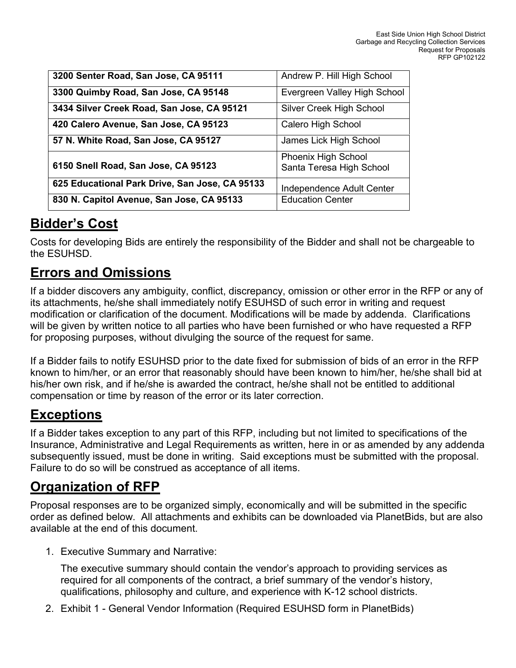| 3200 Senter Road, San Jose, CA 95111           | Andrew P. Hill High School                             |
|------------------------------------------------|--------------------------------------------------------|
| 3300 Quimby Road, San Jose, CA 95148           | Evergreen Valley High School                           |
| 3434 Silver Creek Road, San Jose, CA 95121     | Silver Creek High School                               |
| 420 Calero Avenue, San Jose, CA 95123          | Calero High School                                     |
| 57 N. White Road, San Jose, CA 95127           | James Lick High School                                 |
| 6150 Snell Road, San Jose, CA 95123            | <b>Phoenix High School</b><br>Santa Teresa High School |
| 625 Educational Park Drive, San Jose, CA 95133 | Independence Adult Center                              |
| 830 N. Capitol Avenue, San Jose, CA 95133      | <b>Education Center</b>                                |

### **Bidder's Cost**

Costs for developing Bids are entirely the responsibility of the Bidder and shall not be chargeable to the ESUHSD.

### **Errors and Omissions**

If a bidder discovers any ambiguity, conflict, discrepancy, omission or other error in the RFP or any of its attachments, he/she shall immediately notify ESUHSD of such error in writing and request modification or clarification of the document. Modifications will be made by addenda. Clarifications will be given by written notice to all parties who have been furnished or who have requested a RFP for proposing purposes, without divulging the source of the request for same.

If a Bidder fails to notify ESUHSD prior to the date fixed for submission of bids of an error in the RFP known to him/her, or an error that reasonably should have been known to him/her, he/she shall bid at his/her own risk, and if he/she is awarded the contract, he/she shall not be entitled to additional compensation or time by reason of the error or its later correction.

### **Exceptions**

If a Bidder takes exception to any part of this RFP, including but not limited to specifications of the Insurance, Administrative and Legal Requirements as written, here in or as amended by any addenda subsequently issued, must be done in writing. Said exceptions must be submitted with the proposal. Failure to do so will be construed as acceptance of all items.

### **Organization of RFP**

Proposal responses are to be organized simply, economically and will be submitted in the specific order as defined below. All attachments and exhibits can be downloaded via PlanetBids, but are also available at the end of this document.

1. Executive Summary and Narrative:

The executive summary should contain the vendor's approach to providing services as required for all components of the contract, a brief summary of the vendor's history, qualifications, philosophy and culture, and experience with K-12 school districts.

2. Exhibit 1 - General Vendor Information (Required ESUHSD form in PlanetBids)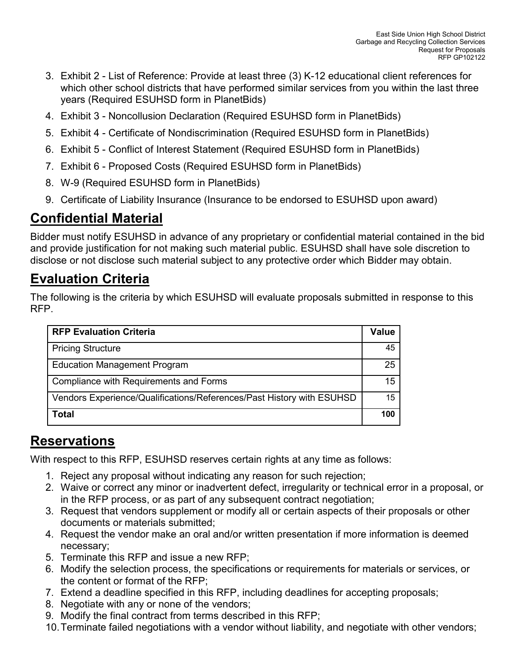- 3. Exhibit 2 List of Reference: Provide at least three (3) K-12 educational client references for which other school districts that have performed similar services from you within the last three years (Required ESUHSD form in PlanetBids)
- 4. Exhibit 3 Noncollusion Declaration (Required ESUHSD form in PlanetBids)
- 5. Exhibit 4 Certificate of Nondiscrimination (Required ESUHSD form in PlanetBids)
- 6. Exhibit 5 Conflict of Interest Statement (Required ESUHSD form in PlanetBids)
- 7. Exhibit 6 Proposed Costs (Required ESUHSD form in PlanetBids)
- 8. W-9 (Required ESUHSD form in PlanetBids)
- 9. Certificate of Liability Insurance (Insurance to be endorsed to ESUHSD upon award)

# **Confidential Material**

Bidder must notify ESUHSD in advance of any proprietary or confidential material contained in the bid and provide justification for not making such material public. ESUHSD shall have sole discretion to disclose or not disclose such material subject to any protective order which Bidder may obtain.

# **Evaluation Criteria**

The following is the criteria by which ESUHSD will evaluate proposals submitted in response to this RFP.

| <b>RFP Evaluation Criteria</b>                                        |     |
|-----------------------------------------------------------------------|-----|
| <b>Pricing Structure</b>                                              |     |
| <b>Education Management Program</b>                                   |     |
| Compliance with Requirements and Forms                                |     |
| Vendors Experience/Qualifications/References/Past History with ESUHSD |     |
| <b>Total</b>                                                          | 100 |

### **Reservations**

With respect to this RFP, ESUHSD reserves certain rights at any time as follows:

- 1. Reject any proposal without indicating any reason for such rejection;
- 2. Waive or correct any minor or inadvertent defect, irregularity or technical error in a proposal, or in the RFP process, or as part of any subsequent contract negotiation;
- 3. Request that vendors supplement or modify all or certain aspects of their proposals or other documents or materials submitted;
- 4. Request the vendor make an oral and/or written presentation if more information is deemed necessary;
- 5. Terminate this RFP and issue a new RFP;
- 6. Modify the selection process, the specifications or requirements for materials or services, or the content or format of the RFP;
- 7. Extend a deadline specified in this RFP, including deadlines for accepting proposals;
- 8. Negotiate with any or none of the vendors;
- 9. Modify the final contract from terms described in this RFP;
- 10.Terminate failed negotiations with a vendor without liability, and negotiate with other vendors;